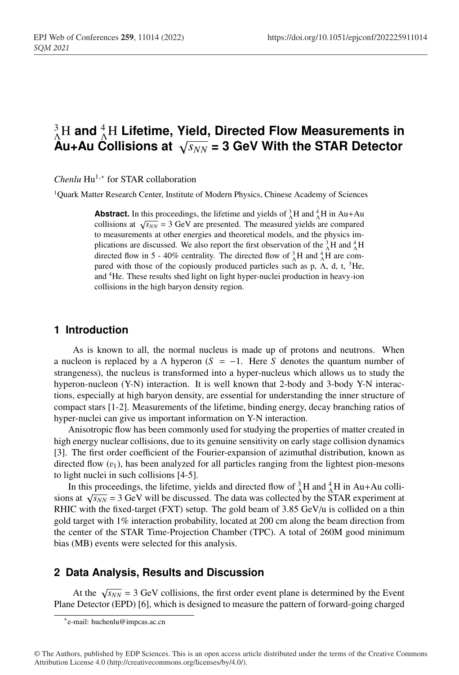# $^{3}_{\Lambda}$ H and <sup>4</sup><sub>A</sub>H Lifetime, Yield, Directed Flow Measurements in  $\hat{A}$ u+Au Collisions at  $\sqrt{s_{NN}}$  = 3 GeV With the STAR Detector

*Chenlu* Hu<sup>1,∗</sup> for STAR collaboration

<sup>1</sup>Quark Matter Research Center, Institute of Modern Physics, Chinese Academy of Sciences

**Abstract.** In this proceedings, the lifetime and yields of  ${}_{\Lambda}^{3}H$  and  ${}_{\Lambda}^{4}H$  in Au+Au collisions at  $\sqrt{s_{NN}}$  = 3 GeV are presented. The measured yields are compared to measurements at other energies and theoretical models, and the physics implications are discussed. We also report the first observation of the  $^{3}_{\Lambda}$ H and  $^{4}_{\Lambda}$ H directed flow in 5 - 40% centrality. The directed flow of  $^{3}_{\Lambda}$ H and  $^{4}_{\Lambda}$ H are compared with those of the copiously produced particles such as p,  $\Lambda$ , d, t, <sup>3</sup>He, and <sup>4</sup>He. These results shed light on light hyper-nuclei production in heavy-ion collisions in the high baryon density region.

### <sup>13</sup> **1 Introduction**

As is known to all, the normal nucleus is made up of protons and neutrons. When a nucleon is replaced by a  $\Lambda$  hyperon ( $S = -1$ . Here *S* denotes the quantum number of strangeness), the nucleus is transformed into a hyper-nucleus which allows us to study the hyperon-nucleon (Y-N) interaction. It is well known that 2-body and 3-body Y-N interactions, especially at high baryon density, are essential for understanding the inner structure of <sup>19</sup> compact stars [1-2]. Measurements of the lifetime, binding energy, decay branching ratios of hyper-nuclei can give us important information on Y-N interaction.

<sup>21</sup> Anisotropic flow has been commonly used for studying the properties of matter created in high energy nuclear collisions, due to its genuine sensitivity on early stage collision dynamics <sup>23</sup> [3]. The first order coefficient of the Fourier-expansion of azimuthal distribution, known as directed flow  $(v_1)$ , has been analyzed for all particles ranging from the lightest pion-mesons to light nuclei in such collisions [4-5].

In this proceedings, the lifetime, yields and directed flow of  ${}_{\Lambda}^{3}H$  and  ${}_{\Lambda}^{4}H$  in Au+Au collisions at  $\sqrt{s_{NN}}$  = 3 GeV will be discussed. The data was collected by the STAR experiment at RHIC with the fixed-target (FXT) setup. The gold beam of 3.85 GeV/u is collided on a thin <sup>29</sup> gold target with 1% interaction probability, located at 200 cm along the beam direction from the center of the STAR Time-Projection Chamber (TPC). A total of 260M good minimum bias (MB) events were selected for this analysis.

#### <sup>32</sup> **2 Data Analysis, Results and Discussion**

At the  $\sqrt{s_{NN}}$  = 3 GeV collisions, the first order event plane is determined by the Event Plane Detector (EPD) [6], which is designed to measure the pattern of forward-going charged

© The Authors, published by EDP Sciences. This is an open access article distributed under the terms of the Creative Commons Attribution License 4.0 (http://creativecommons.org/licenses/by/4.0/).

<sup>∗</sup>e-mail: huchenlu@impcas.ac.cn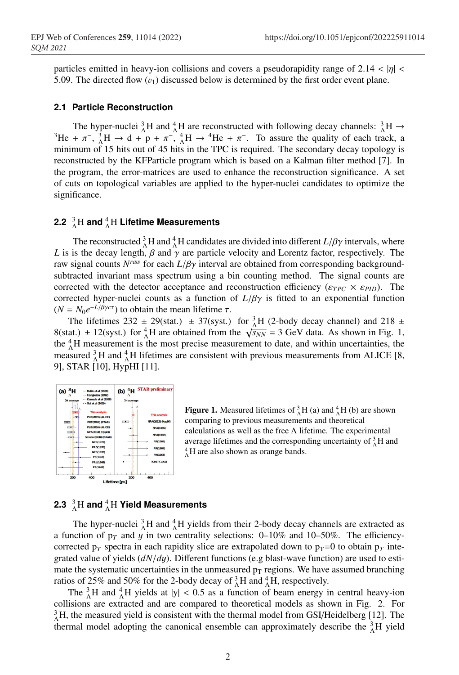particles emitted in heavy-ion collisions and covers a pseudorapidity range of 2.14  $<$  |η|  $<$ 5.09. The directed flow  $(v_1)$  discussed below is determined by the first order event plane.

#### <sup>37</sup> **2.1 Particle Reconstruction**

The hyper-nuclei  ${}^{3}_{\Lambda}$ H and  ${}^{4}_{\Lambda}$ The hyper-nuclei  ${}_{\Lambda}^{3}H$  and  ${}_{\Lambda}^{4}H$  are reconstructed with following decay channels:  ${}_{\Lambda}^{3}H \rightarrow {}_{3}^{3}H + \pi^{-}$ ,  ${}_{\Lambda}^{3}H \rightarrow d + p + \pi^{-}$ ,  ${}_{\Lambda}^{4}H \rightarrow {}_{4}^{4}He + \pi^{-}$ . To assure the quality of each track, a minimum of 15 hits out of 45 hits in the TPC is required. The secondary decay topology is <sup>41</sup> reconstructed by the KFParticle program which is based on a Kalman filter method [7]. In the program, the error-matrices are used to enhance the reconstruction significance. A set <sup>43</sup> of cuts on topological variables are applied to the hyper-nuclei candidates to optimize the significance.

## **2.2**  $^3_\Lambda \text{H}$  and  $^4_\Lambda \text{H}$  Lifetime Measurements

The reconstructed  ${}^{3}_{\Lambda}H$  and  ${}^{4}_{\Lambda}H$  candidates are divided into different  $L/\beta\gamma$  intervals, where *L* is is the decay length,  $\beta$  and  $\gamma$  are particle velocity and Lorentz factor, respectively. The raw signal counts  $N^{raw}$  for each  $L/\beta\gamma$  interval are obtained from corresponding backgroundsubtracted invariant mass spectrum using a bin counting method. The signal counts are  $\frac{1}{2}$  corrected with the detector acceptance and reconstruction efficiency ( $\epsilon_{TPC} \times \epsilon_{PID}$ ). The corrected hyper-nuclei counts as a function of  $L/\beta\gamma$  is fitted to an exponential function  $(N = N_0 e^{-L/\beta \gamma c \tau})$  to obtain the mean lifetime  $\tau$ .

The lifetimes 232  $\pm$  29(stat.)  $\pm$  37(syst.) for  ${}_{\Lambda}^{3}H$  (2-body decay channel) and 218  $\pm$ 8(stat.) ± 12(syst.) for  $^{4}_{\Lambda}$ H are obtained from the  $\sqrt{s_{NN}}$  = 3 GeV data. As shown in Fig. 1, the  ${}_{\alpha}^{4}$ H measurement is the most precise measurement to date, and within uncertainties, the measured  ${}^{3}_{\Lambda}$ H and  ${}^{4}_{\Lambda}$ H lifetimes are consistent with previous measurements from ALICE [8, <sup>57</sup> 9], STAR [10], HypHI [11].



**Figure 1.** Measured lifetimes of  ${}_{\Lambda}^{3}H$  (a) and  ${}_{\Lambda}^{4}H$  (b) are shown comparing to previous measurements and theoretical calculations as well as the free  $\Lambda$  lifetime. The experimental average lifetimes and the corresponding uncertainty of  ${}_{\Lambda}^{3}$ H and  ${}_{4}^{4}$ H and  ${}_{4}^{4}$ H and shown as orange bands  $^{4}_{6}$ H are also shown as orange bands.

## **2.3**  $^3_\Lambda \text{H}$  and  $^4_\Lambda \text{H}$  Yield Measurements

The hyper-nuclei  ${}^{3}_{\Lambda}$ H and  ${}^{4}_{\Lambda}$ H yields from their 2-body decay channels are extracted as a function of  $p_T$  and y in two centrality selections: 0–10% and 10–50%. The efficiencycorrected  $p_T$  spectra in each rapidity slice are extrapolated down to  $p_T=0$  to obtain  $p_T$  inte-<sup>62</sup> grated value of yields (*dN*/*d*y). Different functions (e.g blast-wave function) are used to estimate the systematic uncertainties in the unmeasured  $p_T$  regions. We have assumed branching ratios of 25% and 50% for the 2-body decay of  $^{3}_{\Lambda}$ H and  $^{4}_{\Lambda}$ H, respectively.

The  ${}_{\Lambda}^{3}H$  and  ${}_{\Lambda}^{4}H$  yields at |y| < 0.5 as a function of beam energy in central heavy-ion <sup>66</sup> collisions are extracted and are compared to theoretical models as shown in Fig. 2. For  ${}_{\Lambda}^{3}$ H, the measured yield is consistent with the thermal model from GSI/Heidelberg [12]. The thermal model adopting the canonical ensemble can approximately describe the  $^{3}_{\Lambda}H$  yield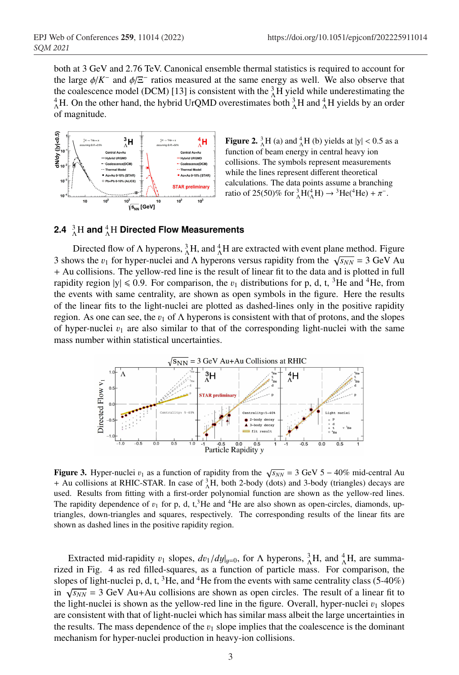<sup>69</sup> both at 3 GeV and 2.76 TeV. Canonical ensemble thermal statistics is required to account for the large  $\phi/K^-$  and  $\phi/\Xi^-$  ratios measured at the same energy as well. We also observe that the coalescence model (DCM) [13] is consistent with the  ${}^{3}_{\Lambda}H$  yield while underestimating the <sup>4</sup><sub>A</sub>H. On the other hand, the hybrid UrQMD overestimates both  ${}_{\Lambda}^{3}$ H and  ${}_{\Lambda}^{4}$ H yields by an order of magnitude.



**Figure 2.**  ${}_{\Lambda}^{3}H$  (a) and  ${}_{\Lambda}^{4}H$  (b) yields at  $|y| < 0.5$  as a function of beam energy in central heavy ion collisions. The symbols represent measurements while the lines represent different theoretical calculations. The data points assume a branching ratio of 25(50)% for  ${}_{\Lambda}^{3}H({}^{4}_{\Lambda}H) \rightarrow {}^{3}He({}^{4}He) + \pi^{-}$ .

## **2.4**  $^{3}_{\Lambda}$ H and  $^{4}_{\Lambda}$ H Directed Flow Measurements

Directed flow of  $\Lambda$  hyperons,  ${}_{\Lambda}^{3}H$ , and  ${}_{\Lambda}^{4}H$  are extracted with event plane method. Figure 3 shows the  $v_1$  for hyper-nuclei and  $\Lambda$  hyperons versus rapidity from the  $\sqrt{s_{NN}} = 3$  GeV Au + Au collisions. The yellow-red line is the result of linear fit to the data and is plotted in full rapidity region  $|y| \le 0.9$ . For comparison, the  $v_1$  distributions for p, d, t, <sup>3</sup>He and <sup>4</sup>He, from <sup>79</sup> the events with same centrality, are shown as open symbols in the figure. Here the results of the linear fits to the light-nuclei are plotted as dashed-lines only in the positive rapidity region. As one can see, the  $v_1$  of  $\Lambda$  hyperons is consistent with that of protons, and the slopes of hyper-nuclei  $v_1$  are also similar to that of the corresponding light-nuclei with the same mass number within statistical uncertainties.



Figure 3. Hyper-nuclei  $v_1$  as a function of rapidity from the  $\sqrt{s_{NN}} = 3$  GeV 5 – 40% mid-central Au + Au collisions at RHIC-STAR. In case of  ${}^{3}_{\Lambda}H$ , both 2-body (dots) and 3-body (triangles) decays are used. Results from fitting with a first-order polynomial function are shown as the yellow-red lines. The rapidity dependence of  $v_1$  for p, d, t,<sup>3</sup>He and <sup>4</sup>He are also shown as open-circles, diamonds, uptriangles, down-triangles and squares, respectively. The corresponding results of the linear fits are shown as dashed lines in the positive rapidity region.

Extracted mid-rapidity  $v_1$  slopes,  $dv_1/dy|_{y=0}$ , for  $\Lambda$  hyperons,  ${}_{\Lambda}^3H$ , and  ${}_{\Lambda}^4H$ , are summarized in Fig. 4 as red filled-squares, as a function of particle mass. For comparison, the slopes of light-nuclei p, d, t,  ${}^{3}$ He, and  ${}^{4}$ He from the events with same centrality class (5-40%) in  $\sqrt{s_{NN}}$  = 3 GeV Au+Au collisions are shown as open circles. The result of a linear fit to the light-nuclei is shown as the yellow-red line in the figure. Overall, hyper-nuclei  $v_1$  slopes are consistent with that of light-nuclei which has similar mass albeit the large uncertainties in the results. The mass dependence of the  $v_1$  slope implies that the coalescence is the dominant mechanism for hyper-nuclei production in heavy-ion collisions.